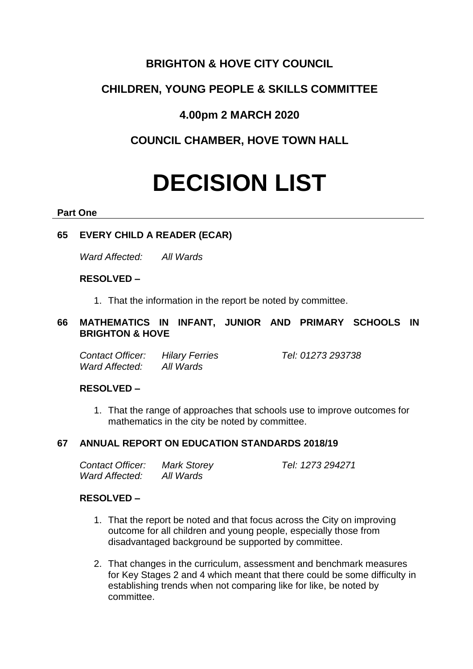# **BRIGHTON & HOVE CITY COUNCIL**

# **CHILDREN, YOUNG PEOPLE & SKILLS COMMITTEE**

# **4.00pm 2 MARCH 2020**

# **COUNCIL CHAMBER, HOVE TOWN HALL**

# **DECISION LIST**

#### **Part One**

## **65 EVERY CHILD A READER (ECAR)**

*Ward Affected: All Wards*

#### **RESOLVED –**

1. That the information in the report be noted by committee.

## **66 MATHEMATICS IN INFANT, JUNIOR AND PRIMARY SCHOOLS IN BRIGHTON & HOVE**

*Contact Officer: Hilary Ferries Tel: 01273 293738 Ward Affected: All Wards*

### **RESOLVED –**

1. That the range of approaches that schools use to improve outcomes for mathematics in the city be noted by committee.

### **67 ANNUAL REPORT ON EDUCATION STANDARDS 2018/19**

| Contact Officer: | <b>Mark Storey</b> | Tel: 1273 294271 |
|------------------|--------------------|------------------|
| Ward Affected:   | All Wards          |                  |

#### **RESOLVED –**

- 1. That the report be noted and that focus across the City on improving outcome for all children and young people, especially those from disadvantaged background be supported by committee.
- 2. That changes in the curriculum, assessment and benchmark measures for Key Stages 2 and 4 which meant that there could be some difficulty in establishing trends when not comparing like for like, be noted by committee.